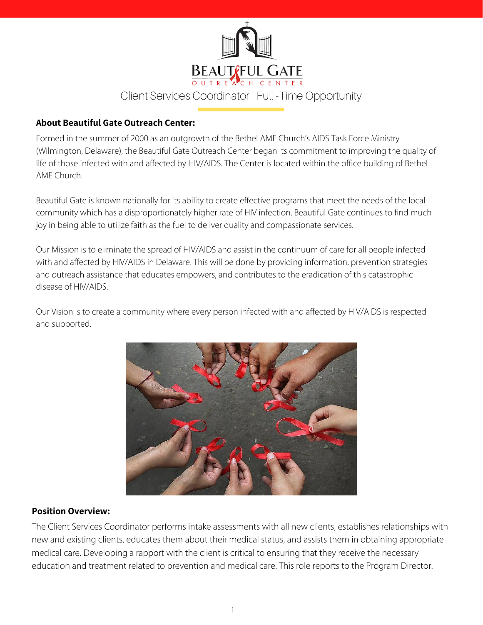

#### **About Beautiful Gate Outreach Center:**

Formed in the summer of 2000 as an outgrowth of the Bethel AME Church's AIDS Task Force Ministry (Wilmington, Delaware), the Beautiful Gate Outreach Center began its commitment to improving the quality of life of those infected with and affected by HIV/AIDS. The Center is located within the office building of Bethel AME Church.

Beautiful Gate is known nationally for its ability to create effective programs that meet the needs of the local community which has a disproportionately higher rate of HIV infection. Beautiful Gate continues to find much joy in being able to utilize faith as the fuel to deliver quality and compassionate services.

Our Mission is to eliminate the spread of HIV/AIDS and assist in the continuum of care for all people infected with and affected by HIV/AIDS in Delaware. This will be done by providing information, prevention strategies and outreach assistance that educates empowers, and contributes to the eradication of this catastrophic disease of HIV/AIDS.

Our Vision is to create a community where every person infected with and affected by HIV/AIDS is respected and supported.



#### **Position Overview:**

The Client Services Coordinator performs intake assessments with all new clients, establishes relationships with new and existing clients, educates them about their medical status, and assists them in obtaining appropriate medical care. Developing a rapport with the client is critical to ensuring that they receive the necessary education and treatment related to prevention and medical care. This role reports to the Program Director.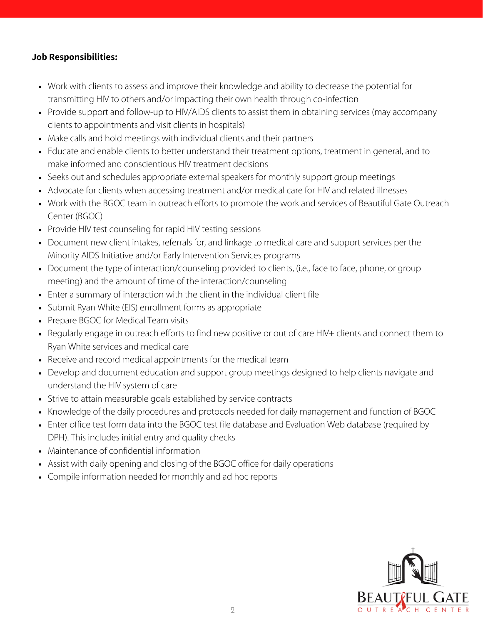# **Job Responsibilities:**

- Work with clients to assess and improve their knowledge and ability to decrease the potential for transmitting HIV to others and/or impacting their own health through co-infection
- Provide support and follow-up to HIV/AIDS clients to assist them in obtaining services (may accompany clients to appointments and visit clients in hospitals)
- Make calls and hold meetings with individual clients and their partners
- Educate and enable clients to better understand their treatment options, treatment in general, and to make informed and conscientious HIV treatment decisions
- Seeks out and schedules appropriate external speakers for monthly support group meetings
- Advocate for clients when accessing treatment and/or medical care for HIV and related illnesses
- Work with the BGOC team in outreach efforts to promote the work and services of Beautiful Gate Outreach Center (BGOC)
- Provide HIV test counseling for rapid HIV testing sessions
- Document new client intakes, referrals for, and linkage to medical care and support services per the Minority AIDS Initiative and/or Early Intervention Services programs
- Document the type of interaction/counseling provided to clients, (i.e., face to face, phone, or group meeting) and the amount of time of the interaction/counseling
- Enter a summary of interaction with the client in the individual client file
- Submit Ryan White (EIS) enrollment forms as appropriate
- Prepare BGOC for Medical Team visits
- Regularly engage in outreach efforts to find new positive or out of care HIV+ clients and connect them to Ryan White services and medical care
- Receive and record medical appointments for the medical team
- Develop and document education and support group meetings designed to help clients navigate and understand the HIV system of care
- Strive to attain measurable goals established by service contracts
- Knowledge of the daily procedures and protocols needed for daily management and function of BGOC
- Enter office test form data into the BGOC test file database and Evaluation Web database (required by DPH). This includes initial entry and quality checks
- Maintenance of confidential information
- Assist with daily opening and closing of the BGOC office for daily operations
- Compile information needed for monthly and ad hoc reports

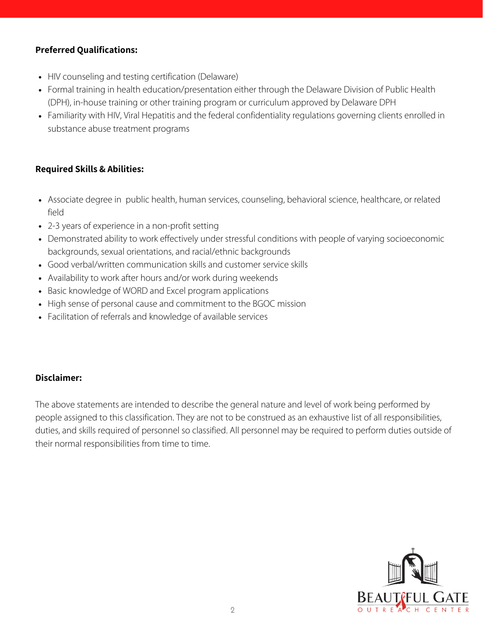# **Preferred Qualifications:**

- HIV counseling and testing certification (Delaware)
- Formal training in health education/presentation either through the Delaware Division of Public Health (DPH), in-house training or other training program or curriculum approved by Delaware DPH
- Familiarity with HIV, Viral Hepatitis and the federal confidentiality regulations governing clients enrolled in substance abuse treatment programs

# **Required Skills & Abilities:**

- Associate degree in public health, human services, counseling, behavioral science, healthcare, or related field
- 2-3 years of experience in a non-profit setting
- Demonstrated ability to work effectively under stressful conditions with people of varying socioeconomic backgrounds, sexual orientations, and racial/ethnic backgrounds
- Good verbal/written communication skills and customer service skills
- Availability to work after hours and/or work during weekends
- Basic knowledge of WORD and Excel program applications
- High sense of personal cause and commitment to the BGOC mission
- Facilitation of referrals and knowledge of available services

# **Disclaimer:**

The above statements are intended to describe the general nature and level of work being performed by people assigned to this classification. They are not to be construed as an exhaustive list of all responsibilities, duties, and skills required of personnel so classified. All personnel may be required to perform duties outside of their normal responsibilities from time to time.